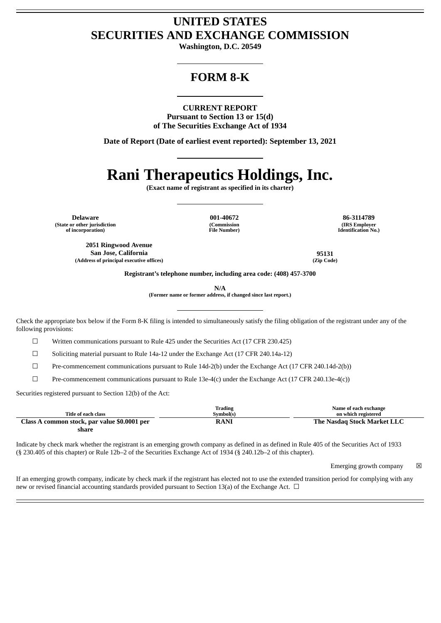# **UNITED STATES SECURITIES AND EXCHANGE COMMISSION**

**Washington, D.C. 20549**

# **FORM 8-K**

# **CURRENT REPORT**

**Pursuant to Section 13 or 15(d) of The Securities Exchange Act of 1934**

**Date of Report (Date of earliest event reported): September 13, 2021**

# **Rani Therapeutics Holdings, Inc.**

**(Exact name of registrant as specified in its charter)**

**Delaware 001-40672 86-3114789 (State or other jurisdiction of incorporation)**

**(Commission File Number)**

**(IRS Employer Identification No.)**

**2051 Ringwood Avenue San Jose, California 95131 (Address of principal executive offices) (Zip Code)**

**Registrant's telephone number, including area code: (408) 457-3700**

**N/A**

**(Former name or former address, if changed since last report.)**

Check the appropriate box below if the Form 8-K filing is intended to simultaneously satisfy the filing obligation of the registrant under any of the following provisions:

☐ Written communications pursuant to Rule 425 under the Securities Act (17 CFR 230.425)

☐ Soliciting material pursuant to Rule 14a-12 under the Exchange Act (17 CFR 240.14a-12)

☐ Pre-commencement communications pursuant to Rule 14d-2(b) under the Exchange Act (17 CFR 240.14d-2(b))

 $\Box$  Pre-commencement communications pursuant to Rule 13e-4(c) under the Exchange Act (17 CFR 240.13e-4(c))

Securities registered pursuant to Section 12(b) of the Act:

|                                              | Trading     | Name of each exchange       |
|----------------------------------------------|-------------|-----------------------------|
| Title of each class                          | Symbol(s)   | on which registered         |
| Class A common stock, par value \$0.0001 per | <b>RANI</b> | The Nasdag Stock Market LLC |
| share                                        |             |                             |

Indicate by check mark whether the registrant is an emerging growth company as defined in as defined in Rule 405 of the Securities Act of 1933 (§ 230.405 of this chapter) or Rule 12b–2 of the Securities Exchange Act of 1934 (§ 240.12b–2 of this chapter).

Emerging growth company  $\boxtimes$ 

If an emerging growth company, indicate by check mark if the registrant has elected not to use the extended transition period for complying with any new or revised financial accounting standards provided pursuant to Section 13(a) of the Exchange Act.  $\Box$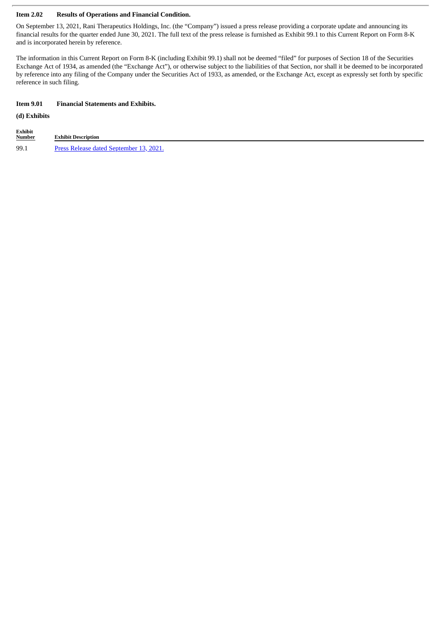### **Item 2.02 Results of Operations and Financial Condition.**

On September 13, 2021, Rani Therapeutics Holdings, Inc. (the "Company") issued a press release providing a corporate update and announcing its financial results for the quarter ended June 30, 2021. The full text of the press release is furnished as Exhibit 99.1 to this Current Report on Form 8-K and is incorporated herein by reference.

The information in this Current Report on Form 8-K (including Exhibit 99.1) shall not be deemed "filed" for purposes of Section 18 of the Securities Exchange Act of 1934, as amended (the "Exchange Act"), or otherwise subject to the liabilities of that Section, nor shall it be deemed to be incorporated by reference into any filing of the Company under the Securities Act of 1933, as amended, or the Exchange Act, except as expressly set forth by specific reference in such filing.

#### **Item 9.01 Financial Statements and Exhibits.**

#### **(d) Exhibits**

| Exhibit<br><b>Number</b> | <b>Exhibit Description</b>                     |
|--------------------------|------------------------------------------------|
| 99.1                     | <u>Press Release dated September 13, 2021.</u> |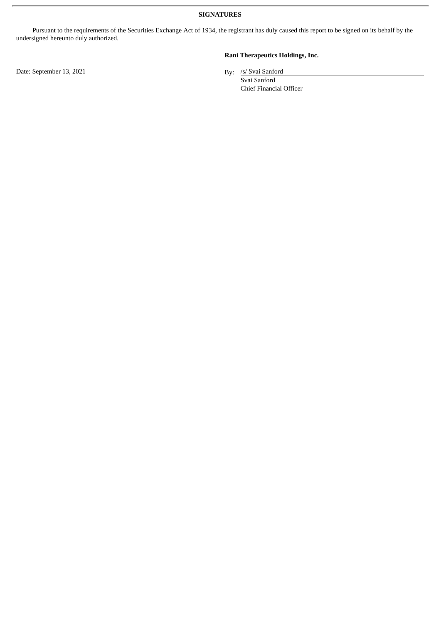**SIGNATURES**

Pursuant to the requirements of the Securities Exchange Act of 1934, the registrant has duly caused this report to be signed on its behalf by the undersigned hereunto duly authorized.

**Rani Therapeutics Holdings, Inc.**

By: /s/ Svai Sanford

Svai Sanford Chief Financial Officer

Date: September 13, 2021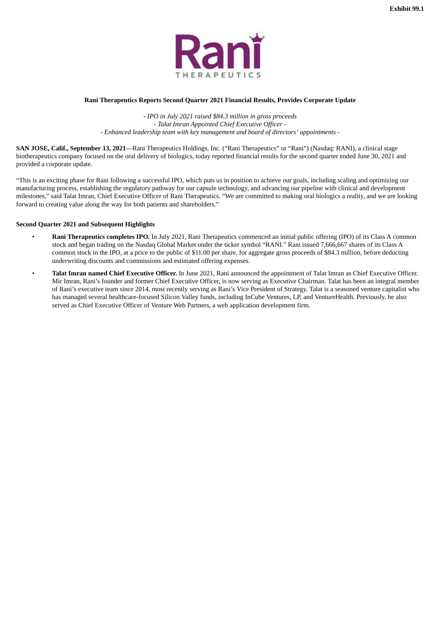

## <span id="page-3-0"></span>**Rani Therapeutics Reports Second Quarter 2021 Financial Results, Provides Corporate Update**

*- IPO in July 2021 raised \$84.3 million in gross proceeds - Talat Imran Appointed Chief Executive Officer - - Enhanced leadership team with key management and board of directors' appointments -*

**SAN JOSE, Calif., September 13, 2021**—Rani Therapeutics Holdings, Inc. ("Rani Therapeutics" or "Rani") (Nasdaq: RANI), a clinical stage biotherapeutics company focused on the oral delivery of biologics, today reported financial results for the second quarter ended June 30, 2021 and provided a corporate update.

"This is an exciting phase for Rani following a successful IPO, which puts us in position to achieve our goals, including scaling and optimizing our manufacturing process, establishing the regulatory pathway for our capsule technology, and advancing our pipeline with clinical and development milestones," said Talat Imran, Chief Executive Officer of Rani Therapeutics. "We are committed to making oral biologics a reality, and we are looking forward to creating value along the way for both patients and shareholders."

### **Second Quarter 2021 and Subsequent Highlights**

- **Rani Therapeutics completes IPO.** In July 2021, Rani Therapeutics commenced an initial public offering (IPO) of its Class A common stock and began trading on the Nasdaq Global Market under the ticker symbol "RANI." Rani issued 7,666,667 shares of its Class A common stock in the IPO, at a price to the public of \$11.00 per share, for aggregate gross proceeds of \$84.3 million, before deducting underwriting discounts and commissions and estimated offering expenses.
- **Talat Imran named Chief Executive Officer.** In June 2021, Rani announced the appointment of Talat Imran as Chief Executive Officer. Mir Imran, Rani's founder and former Chief Executive Officer, is now serving as Executive Chairman. Talat has been an integral member of Rani's executive team since 2014, most recently serving as Rani's Vice President of Strategy. Talat is a seasoned venture capitalist who has managed several healthcare-focused Silicon Valley funds, including InCube Ventures, LP, and VentureHealth. Previously, he also served as Chief Executive Officer of Venture Web Partners, a web application development firm.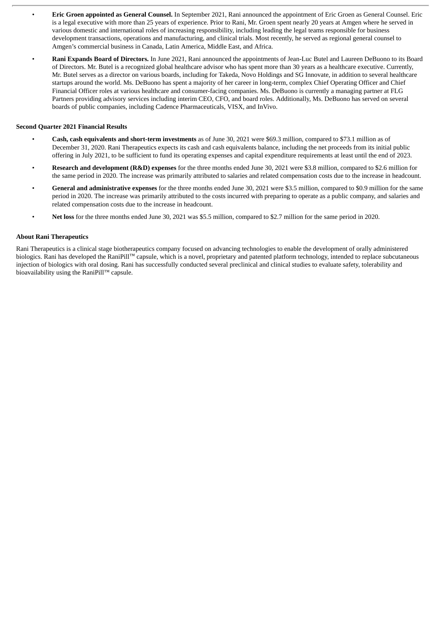- **Eric Groen appointed as General Counsel.** In September 2021, Rani announced the appointment of Eric Groen as General Counsel. Eric is a legal executive with more than 25 years of experience. Prior to Rani, Mr. Groen spent nearly 20 years at Amgen where he served in various domestic and international roles of increasing responsibility, including leading the legal teams responsible for business development transactions, operations and manufacturing, and clinical trials. Most recently, he served as regional general counsel to Amgen's commercial business in Canada, Latin America, Middle East, and Africa.
	- **Rani Expands Board of Directors.** In June 2021, Rani announced the appointments of Jean-Luc Butel and Laureen DeBuono to its Board of Directors. Mr. Butel is a recognized global healthcare advisor who has spent more than 30 years as a healthcare executive. Currently, Mr. Butel serves as a director on various boards, including for Takeda, Novo Holdings and SG Innovate, in addition to several healthcare startups around the world. Ms. DeBuono has spent a majority of her career in long-term, complex Chief Operating Officer and Chief Financial Officer roles at various healthcare and consumer-facing companies. Ms. DeBuono is currently a managing partner at FLG Partners providing advisory services including interim CEO, CFO, and board roles. Additionally, Ms. DeBuono has served on several boards of public companies, including Cadence Pharmaceuticals, VISX, and InVivo.

# **Second Quarter 2021 Financial Results**

- **Cash, cash equivalents and short-term investments** as of June 30, 2021 were \$69.3 million, compared to \$73.1 million as of December 31, 2020. Rani Therapeutics expects its cash and cash equivalents balance, including the net proceeds from its initial public offering in July 2021, to be sufficient to fund its operating expenses and capital expenditure requirements at least until the end of 2023.
- **Research and development (R&D) expenses** for the three months ended June 30, 2021 were \$3.8 million, compared to \$2.6 million for the same period in 2020. The increase was primarily attributed to salaries and related compensation costs due to the increase in headcount.
- **General and administrative expenses** for the three months ended June 30, 2021 were \$3.5 million, compared to \$0.9 million for the same period in 2020. The increase was primarily attributed to the costs incurred with preparing to operate as a public company, and salaries and related compensation costs due to the increase in headcount.
- **Net loss** for the three months ended June 30, 2021 was \$5.5 million, compared to \$2.7 million for the same period in 2020.

#### **About Rani Therapeutics**

Rani Therapeutics is a clinical stage biotherapeutics company focused on advancing technologies to enable the development of orally administered biologics. Rani has developed the RaniPill™ capsule, which is a novel, proprietary and patented platform technology, intended to replace subcutaneous injection of biologics with oral dosing. Rani has successfully conducted several preclinical and clinical studies to evaluate safety, tolerability and bioavailability using the RaniPill™ capsule.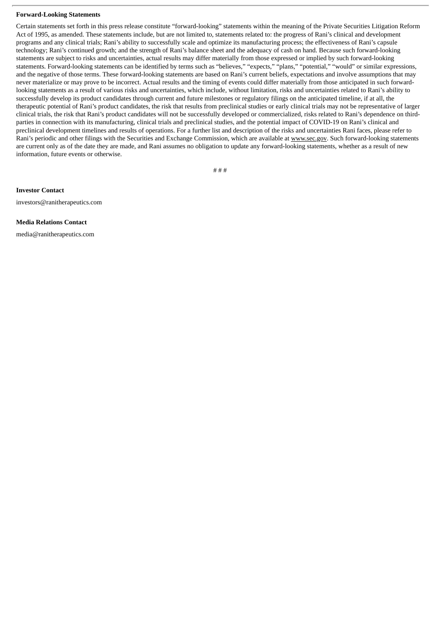#### **Forward-Looking Statements**

Certain statements set forth in this press release constitute "forward-looking" statements within the meaning of the Private Securities Litigation Reform Act of 1995, as amended. These statements include, but are not limited to, statements related to: the progress of Rani's clinical and development programs and any clinical trials; Rani's ability to successfully scale and optimize its manufacturing process; the effectiveness of Rani's capsule technology; Rani's continued growth; and the strength of Rani's balance sheet and the adequacy of cash on hand. Because such forward-looking statements are subject to risks and uncertainties, actual results may differ materially from those expressed or implied by such forward-looking statements. Forward-looking statements can be identified by terms such as "believes," "expects," "plans," "potential," "would" or similar expressions, and the negative of those terms. These forward-looking statements are based on Rani's current beliefs, expectations and involve assumptions that may never materialize or may prove to be incorrect. Actual results and the timing of events could differ materially from those anticipated in such forwardlooking statements as a result of various risks and uncertainties, which include, without limitation, risks and uncertainties related to Rani's ability to successfully develop its product candidates through current and future milestones or regulatory filings on the anticipated timeline, if at all, the therapeutic potential of Rani's product candidates, the risk that results from preclinical studies or early clinical trials may not be representative of larger clinical trials, the risk that Rani's product candidates will not be successfully developed or commercialized, risks related to Rani's dependence on thirdparties in connection with its manufacturing, clinical trials and preclinical studies, and the potential impact of COVID-19 on Rani's clinical and preclinical development timelines and results of operations. For a further list and description of the risks and uncertainties Rani faces, please refer to Rani's periodic and other filings with the Securities and Exchange Commission, which are available at www.sec.gov. Such forward-looking statements are current only as of the date they are made, and Rani assumes no obligation to update any forward-looking statements, whether as a result of new information, future events or otherwise.

# # #

**Investor Contact**

investors@ranitherapeutics.com

#### **Media Relations Contact**

media@ranitherapeutics.com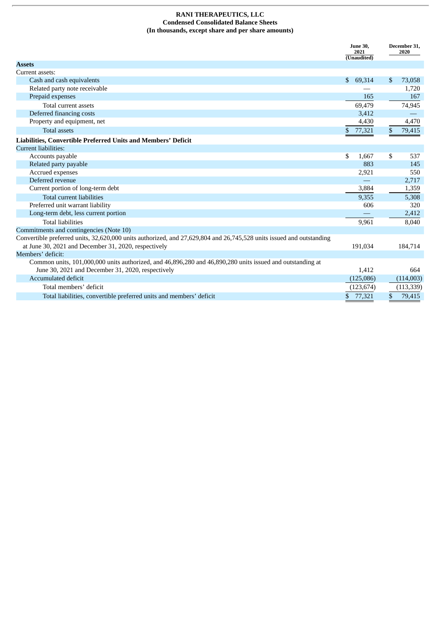### **RANI THERAPEUTICS, LLC Condensed Consolidated Balance Sheets (In thousands, except share and per share amounts)**

|                                                                                                                      |              | <b>June 30.</b><br>2021<br>(Unaudited) |    | December 31.<br>2020 |  |
|----------------------------------------------------------------------------------------------------------------------|--------------|----------------------------------------|----|----------------------|--|
| <b>Assets</b>                                                                                                        |              |                                        |    |                      |  |
| Current assets:                                                                                                      |              |                                        |    |                      |  |
| Cash and cash equivalents                                                                                            | $\mathbf{s}$ | 69,314                                 | \$ | 73,058               |  |
| Related party note receivable                                                                                        |              |                                        |    | 1.720                |  |
| Prepaid expenses                                                                                                     |              | 165                                    |    | 167                  |  |
| Total current assets                                                                                                 |              | 69,479                                 |    | 74,945               |  |
| Deferred financing costs                                                                                             |              | 3,412                                  |    |                      |  |
| Property and equipment, net                                                                                          |              | 4,430                                  |    | 4,470                |  |
| <b>Total assets</b>                                                                                                  | \$           | 77,321                                 | \$ | 79,415               |  |
| Liabilities, Convertible Preferred Units and Members' Deficit                                                        |              |                                        |    |                      |  |
| Current liabilities:                                                                                                 |              |                                        |    |                      |  |
| Accounts payable                                                                                                     | \$           | 1,667                                  | \$ | 537                  |  |
| Related party payable                                                                                                |              | 883                                    |    | 145                  |  |
| Accrued expenses                                                                                                     |              | 2,921                                  |    | 550                  |  |
| Deferred revenue                                                                                                     |              |                                        |    | 2,717                |  |
| Current portion of long-term debt                                                                                    |              | 3,884                                  |    | 1,359                |  |
| <b>Total current liabilities</b>                                                                                     |              | 9,355                                  |    | 5,308                |  |
| Preferred unit warrant liability                                                                                     |              | 606                                    |    | 320                  |  |
| Long-term debt, less current portion                                                                                 |              |                                        |    | 2,412                |  |
| <b>Total liabilities</b>                                                                                             |              | 9,961                                  |    | 8,040                |  |
| Commitments and contingencies (Note 10)                                                                              |              |                                        |    |                      |  |
| Convertible preferred units, 32,620,000 units authorized, and 27,629,804 and 26,745,528 units issued and outstanding |              |                                        |    |                      |  |
| at June 30, 2021 and December 31, 2020, respectively                                                                 |              | 191,034                                |    | 184,714              |  |
| Members' deficit:                                                                                                    |              |                                        |    |                      |  |
| Common units, 101,000,000 units authorized, and 46,896,280 and 46,890,280 units issued and outstanding at            |              |                                        |    |                      |  |
| June 30, 2021 and December 31, 2020, respectively                                                                    |              | 1.412                                  |    | 664                  |  |
| Accumulated deficit                                                                                                  |              | (125,086)                              |    | (114,003)            |  |
| Total members' deficit                                                                                               |              | (123, 674)                             |    | (113, 339)           |  |
| Total liabilities, convertible preferred units and members' deficit                                                  | \$           | 77,321                                 | \$ | 79,415               |  |